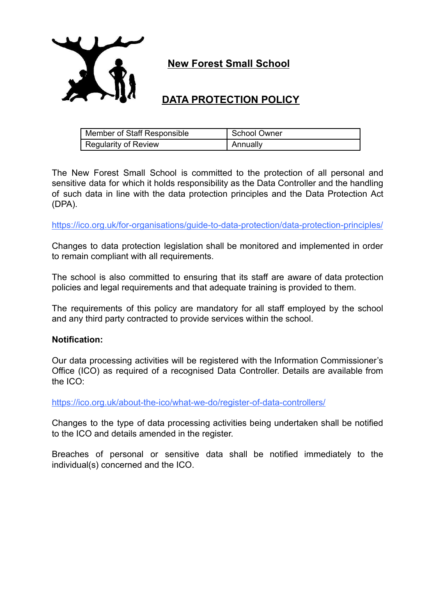

**New Forest Small School**

# **DATA PROTECTION POLICY**

| Member of Staff Responsible | School Owner |
|-----------------------------|--------------|
| Regularity of Review        | Annually     |

The New Forest Small School is committed to the protection of all personal and sensitive data for which it holds responsibility as the Data Controller and the handling of such data in line with the data protection principles and the Data Protection Act (DPA).

<https://ico.org.uk/for-organisations/guide-to-data-protection/data-protection-principles/>

Changes to data protection legislation shall be monitored and implemented in order to remain compliant with all requirements.

The school is also committed to ensuring that its staff are aware of data protection policies and legal requirements and that adequate training is provided to them.

The requirements of this policy are mandatory for all staff employed by the school and any third party contracted to provide services within the school.

### **Notification:**

Our data processing activities will be registered with the Information Commissioner's Office (ICO) as required of a recognised Data Controller. Details are available from the ICO:

<https://ico.org.uk/about-the-ico/what-we-do/register-of-data-controllers/>

Changes to the type of data processing activities being undertaken shall be notified to the ICO and details amended in the register.

Breaches of personal or sensitive data shall be notified immediately to the individual(s) concerned and the ICO.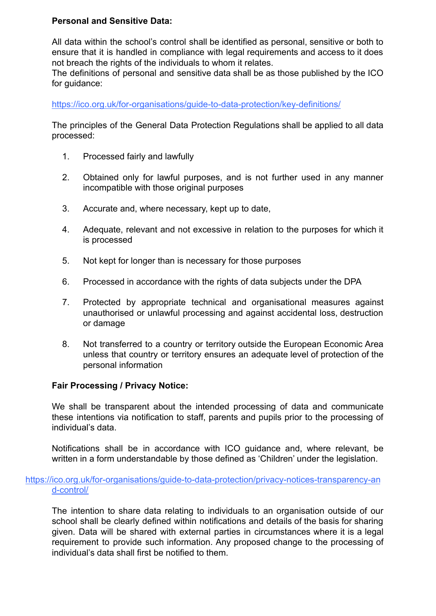# **Personal and Sensitive Data:**

All data within the school's control shall be identified as personal, sensitive or both to ensure that it is handled in compliance with legal requirements and access to it does not breach the rights of the individuals to whom it relates.

The definitions of personal and sensitive data shall be as those published by the ICO for guidance:

<https://ico.org.uk/for-organisations/guide-to-data-protection/key-definitions/>

The principles of the General Data Protection Regulations shall be applied to all data processed:

- 1. Processed fairly and lawfully
- 2. Obtained only for lawful purposes, and is not further used in any manner incompatible with those original purposes
- 3. Accurate and, where necessary, kept up to date,
- 4. Adequate, relevant and not excessive in relation to the purposes for which it is processed
- 5. Not kept for longer than is necessary for those purposes
- 6. Processed in accordance with the rights of data subjects under the DPA
- 7. Protected by appropriate technical and organisational measures against unauthorised or unlawful processing and against accidental loss, destruction or damage
- 8. Not transferred to a country or territory outside the European Economic Area unless that country or territory ensures an adequate level of protection of the personal information

### **Fair Processing / Privacy Notice:**

We shall be transparent about the intended processing of data and communicate these intentions via notification to staff, parents and pupils prior to the processing of individual's data.

Notifications shall be in accordance with ICO guidance and, where relevant, be written in a form understandable by those defined as 'Children' under the legislation.

## [https://ico.org.uk/for-organisations/guide-to-data-protection/privacy-notices-transparency-an](https://ico.org.uk/for-organisations/guide-to-data-protection/privacy-notices-transparency-and-control/) [d-control/](https://ico.org.uk/for-organisations/guide-to-data-protection/privacy-notices-transparency-and-control/)

The intention to share data relating to individuals to an organisation outside of our school shall be clearly defined within notifications and details of the basis for sharing given. Data will be shared with external parties in circumstances where it is a legal requirement to provide such information. Any proposed change to the processing of individual's data shall first be notified to them.